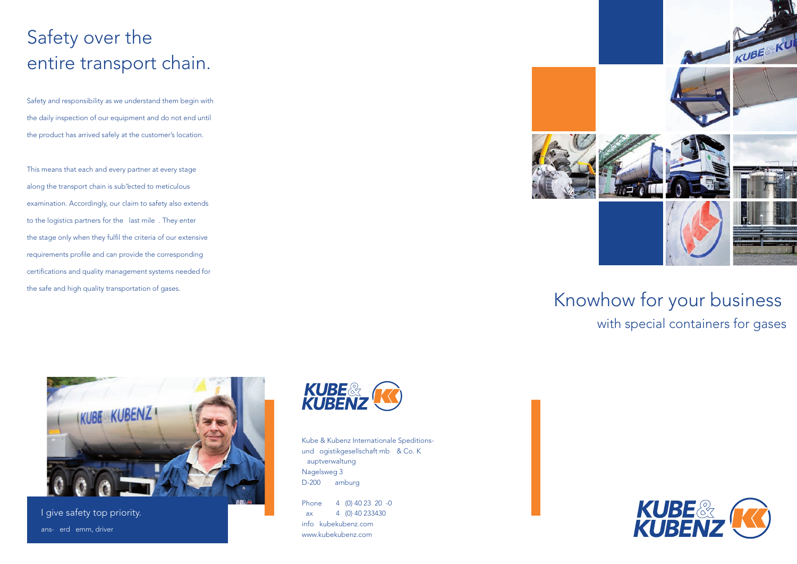# Safety over the entire transport chain.

Safety and responsibility as we understand them begin with the daily inspection of our equipment and do not end until the product has arrived safely at the customer's location.

This means that each and every partner at every stage along the transport chain is sub"ected to meticulous examination. Accordingly, our claim to safety also extends to the logistics partners for the last mile. They enter the stage only when they fulfil the criteria of our extensive requirements profile and can provide the corresponding certifications and quality management systems needed for the safe and high quality transportation of gases.



### Knowhow for your business with special containers for gases



I give safety top priority. Hans-Gerd Lemm, driver



Kube & Kubenz Internationale Speditionsund Logistikgesellschaft mbH & Co. KG Hauptverwaltung Nagelsweg 3 D-200 Hamburg

Phone 4 (0) 40 23 20 -0  $ax = 4(0) 40 233430$ info kubekubenz.com www.kubekubenz.com